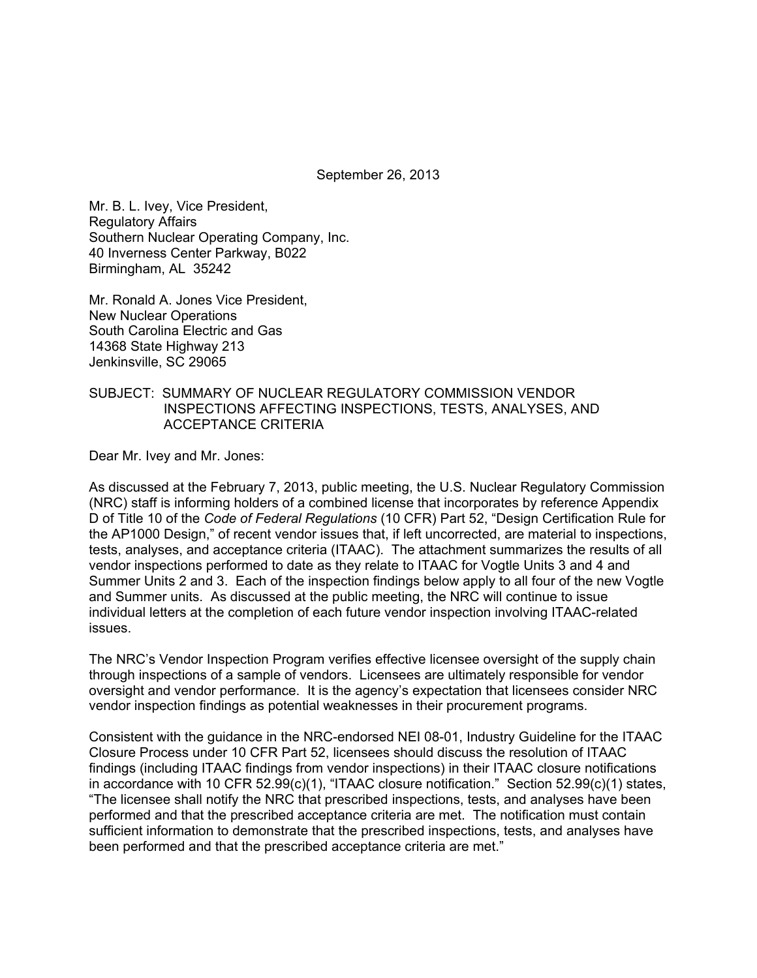September 26, 2013

Mr. B. L. Ivey, Vice President, Regulatory Affairs Southern Nuclear Operating Company, Inc. 40 Inverness Center Parkway, B022 Birmingham, AL 35242

Mr. Ronald A. Jones Vice President, New Nuclear Operations South Carolina Electric and Gas 14368 State Highway 213 Jenkinsville, SC 29065

#### SUBJECT: SUMMARY OF NUCLEAR REGULATORY COMMISSION VENDOR INSPECTIONS AFFECTING INSPECTIONS, TESTS, ANALYSES, AND ACCEPTANCE CRITERIA

Dear Mr. Ivey and Mr. Jones:

As discussed at the February 7, 2013, public meeting, the U.S. Nuclear Regulatory Commission (NRC) staff is informing holders of a combined license that incorporates by reference Appendix D of Title 10 of the *Code of Federal Regulations* (10 CFR) Part 52, "Design Certification Rule for the AP1000 Design," of recent vendor issues that, if left uncorrected, are material to inspections, tests, analyses, and acceptance criteria (ITAAC). The attachment summarizes the results of all vendor inspections performed to date as they relate to ITAAC for Vogtle Units 3 and 4 and Summer Units 2 and 3. Each of the inspection findings below apply to all four of the new Vogtle and Summer units. As discussed at the public meeting, the NRC will continue to issue individual letters at the completion of each future vendor inspection involving ITAAC-related issues.

The NRC's Vendor Inspection Program verifies effective licensee oversight of the supply chain through inspections of a sample of vendors. Licensees are ultimately responsible for vendor oversight and vendor performance. It is the agency's expectation that licensees consider NRC vendor inspection findings as potential weaknesses in their procurement programs.

Consistent with the guidance in the NRC-endorsed NEI 08-01, Industry Guideline for the ITAAC Closure Process under 10 CFR Part 52, licensees should discuss the resolution of ITAAC findings (including ITAAC findings from vendor inspections) in their ITAAC closure notifications in accordance with 10 CFR 52.99(c)(1), "ITAAC closure notification." Section 52.99(c)(1) states, "The licensee shall notify the NRC that prescribed inspections, tests, and analyses have been performed and that the prescribed acceptance criteria are met. The notification must contain sufficient information to demonstrate that the prescribed inspections, tests, and analyses have been performed and that the prescribed acceptance criteria are met."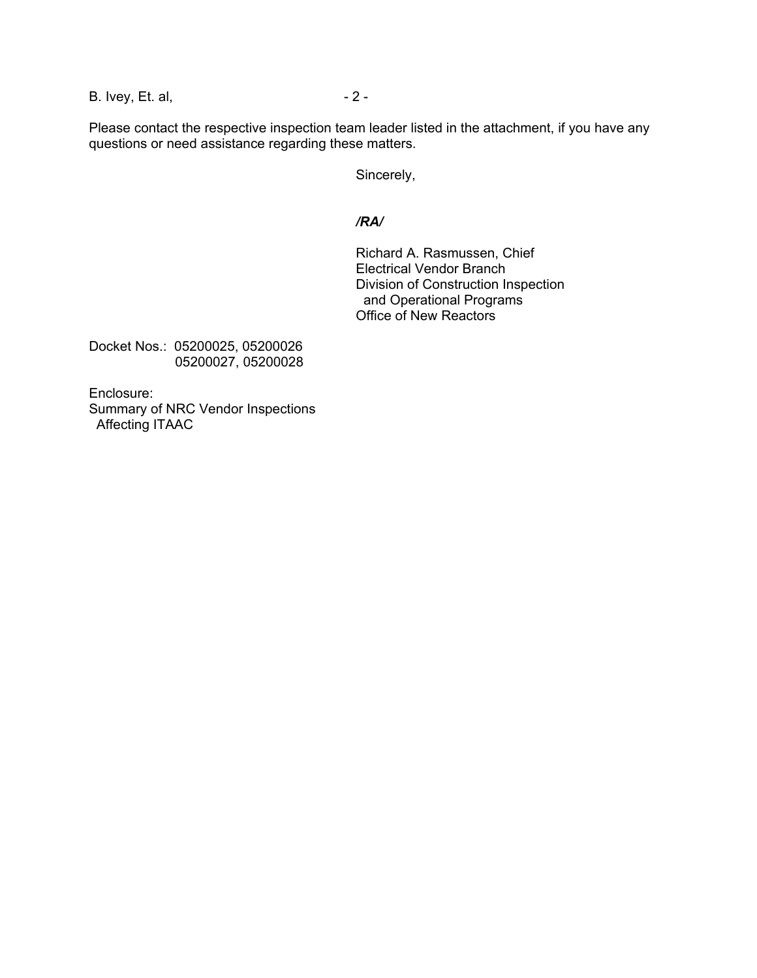B. Ivey, Et. al, 2 -

Please contact the respective inspection team leader listed in the attachment, if you have any questions or need assistance regarding these matters.

Sincerely,

#### */RA/*

Richard A. Rasmussen, Chief Electrical Vendor Branch Division of Construction Inspection and Operational Programs Office of New Reactors

Docket Nos.: 05200025, 05200026 05200027, 05200028

Enclosure: Summary of NRC Vendor Inspections Affecting ITAAC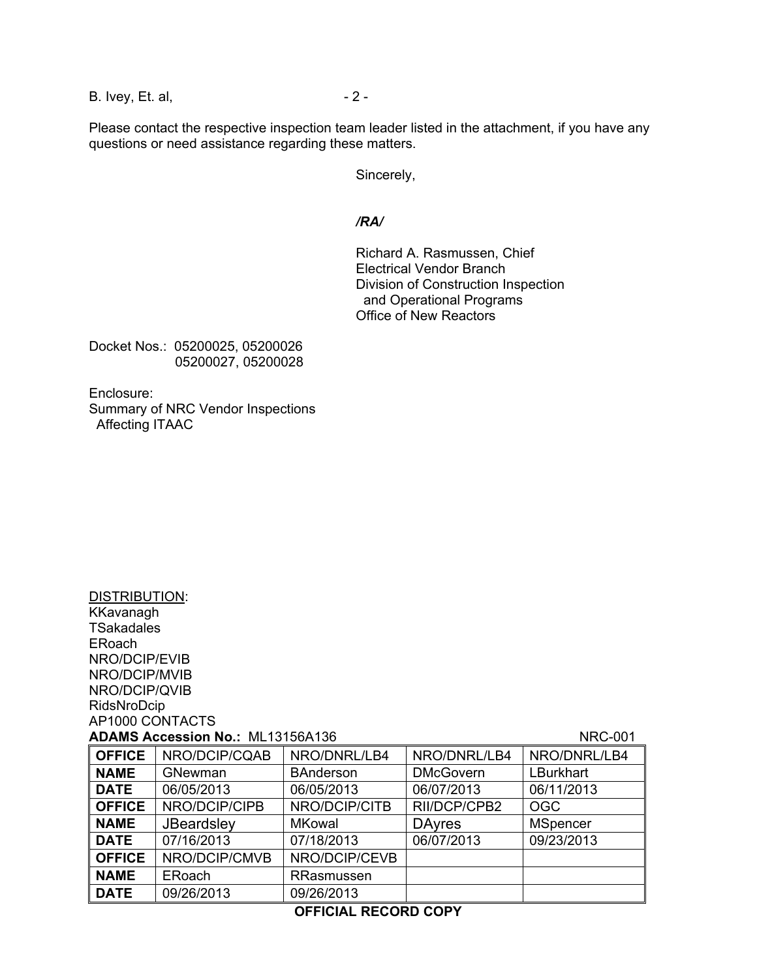B. Ivey, Et. al, 2 -

Please contact the respective inspection team leader listed in the attachment, if you have any questions or need assistance regarding these matters.

Sincerely,

#### */RA/*

Richard A. Rasmussen, Chief Electrical Vendor Branch Division of Construction Inspection and Operational Programs Office of New Reactors

Docket Nos.: 05200025, 05200026 05200027, 05200028

Enclosure: Summary of NRC Vendor Inspections Affecting ITAAC

DISTRIBUTION: **KKavanagh** 

| <b>TSakadales</b> |                                         |                  |                  |                 |  |  |
|-------------------|-----------------------------------------|------------------|------------------|-----------------|--|--|
| ERoach            |                                         |                  |                  |                 |  |  |
| NRO/DCIP/EVIB     |                                         |                  |                  |                 |  |  |
| NRO/DCIP/MVIB     |                                         |                  |                  |                 |  |  |
| NRO/DCIP/QVIB     |                                         |                  |                  |                 |  |  |
| RidsNroDcip       |                                         |                  |                  |                 |  |  |
| AP1000 CONTACTS   |                                         |                  |                  |                 |  |  |
|                   | <b>ADAMS Accession No.: ML13156A136</b> |                  |                  | <b>NRC-001</b>  |  |  |
| <b>OFFICE</b>     | NRO/DCIP/CQAB                           | NRO/DNRL/LB4     | NRO/DNRL/LB4     | NRO/DNRL/LB4    |  |  |
| <b>NAME</b>       | <b>GNewman</b>                          | <b>BAnderson</b> | <b>DMcGovern</b> | LBurkhart       |  |  |
| <b>DATE</b>       | 06/05/2013                              | 06/05/2013       | 06/07/2013       | 06/11/2013      |  |  |
| <b>OFFICE</b>     | NRO/DCIP/CIPB                           | NRO/DCIP/CITB    | RII/DCP/CPB2     | OGC             |  |  |
| <b>NAME</b>       | <b>JBeardsley</b>                       | MKowal           | <b>DAvres</b>    | <b>MSpencer</b> |  |  |
| <b>DATE</b>       | 07/16/2013                              | 07/18/2013       | 06/07/2013       | 09/23/2013      |  |  |
| <b>OFFICE</b>     | NRO/DCIP/CMVB                           | NRO/DCIP/CEVB    |                  |                 |  |  |
| <b>NAME</b>       | ERoach                                  | RRasmussen       |                  |                 |  |  |
| <b>DATE</b>       | 09/26/2013                              | 09/26/2013       |                  |                 |  |  |

#### **OFFICIAL RECORD COPY**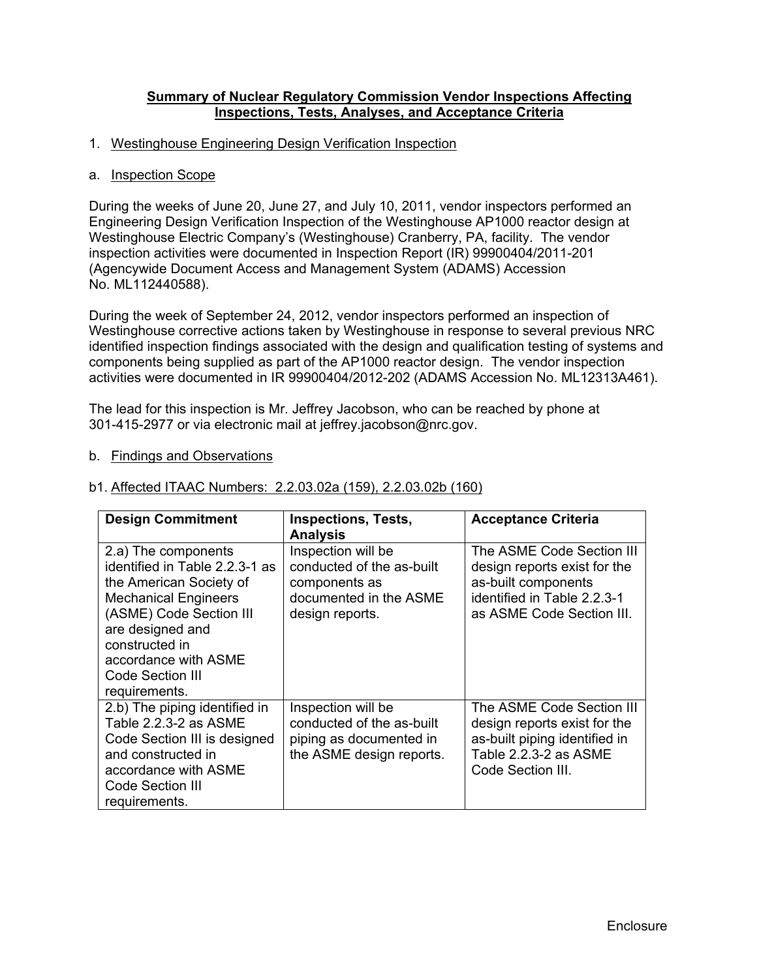#### **Summary of Nuclear Regulatory Commission Vendor Inspections Affecting Inspections, Tests, Analyses, and Acceptance Criteria**

#### 1. Westinghouse Engineering Design Verification Inspection

#### a. Inspection Scope

During the weeks of June 20, June 27, and July 10, 2011, vendor inspectors performed an Engineering Design Verification Inspection of the Westinghouse AP1000 reactor design at Westinghouse Electric Company's (Westinghouse) Cranberry, PA, facility. The vendor inspection activities were documented in Inspection Report (IR) 99900404/2011-201 (Agencywide Document Access and Management System (ADAMS) Accession No. ML112440588).

During the week of September 24, 2012, vendor inspectors performed an inspection of Westinghouse corrective actions taken by Westinghouse in response to several previous NRC identified inspection findings associated with the design and qualification testing of systems and components being supplied as part of the AP1000 reactor design. The vendor inspection activities were documented in IR 99900404/2012-202 (ADAMS Accession No. ML12313A461).

The lead for this inspection is Mr. Jeffrey Jacobson, who can be reached by phone at 301-415-2977 or via electronic mail at jeffrey.jacobson@nrc.gov.

#### b. Findings and Observations

| <b>Design Commitment</b>                                                                                                                                                                                                                      | <b>Inspections, Tests,</b><br><b>Analysis</b>                                                                 | <b>Acceptance Criteria</b>                                                                                                                   |
|-----------------------------------------------------------------------------------------------------------------------------------------------------------------------------------------------------------------------------------------------|---------------------------------------------------------------------------------------------------------------|----------------------------------------------------------------------------------------------------------------------------------------------|
| 2.a) The components<br>identified in Table 2.2.3-1 as<br>the American Society of<br><b>Mechanical Engineers</b><br>(ASME) Code Section III<br>are designed and<br>constructed in<br>accordance with ASME<br>Code Section III<br>requirements. | Inspection will be<br>conducted of the as-built<br>components as<br>documented in the ASME<br>design reports. | The ASME Code Section III<br>design reports exist for the<br>as-built components<br>identified in Table 2.2.3-1<br>as ASME Code Section III. |
| 2.b) The piping identified in<br>Table 2.2.3-2 as ASME<br>Code Section III is designed<br>and constructed in<br>accordance with ASME<br>Code Section III<br>requirements.                                                                     | Inspection will be<br>conducted of the as-built<br>piping as documented in<br>the ASME design reports.        | The ASME Code Section III<br>design reports exist for the<br>as-built piping identified in<br>Table 2.2.3-2 as ASME<br>Code Section III.     |

#### b1. Affected ITAAC Numbers: 2.2.03.02a (159), 2.2.03.02b (160)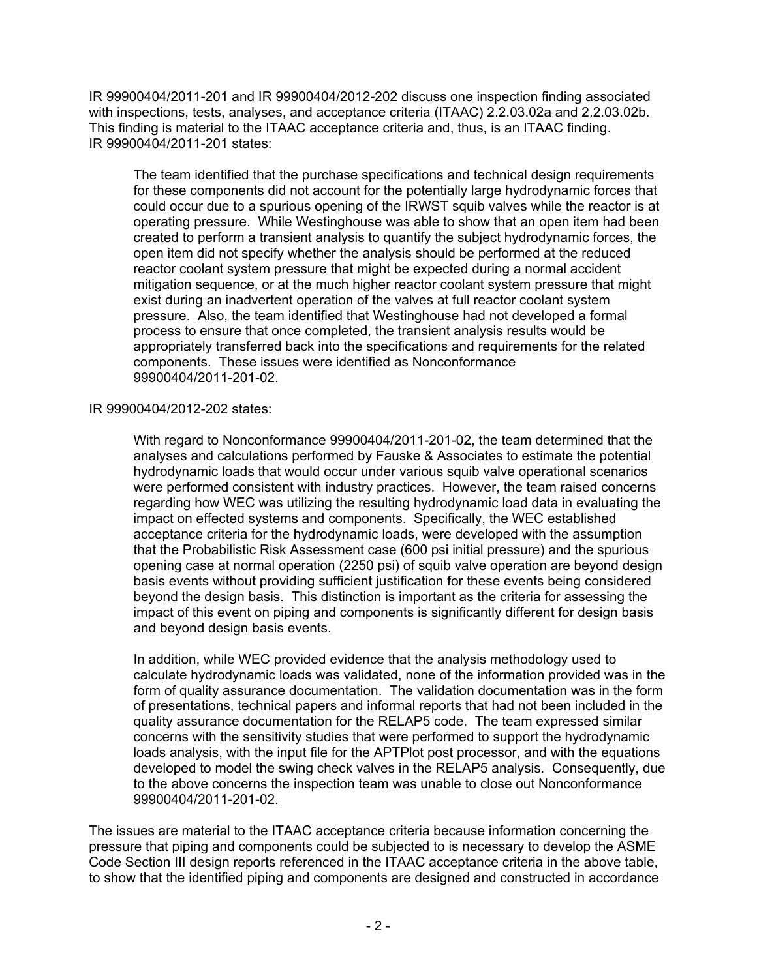IR 99900404/2011-201 and IR 99900404/2012-202 discuss one inspection finding associated with inspections, tests, analyses, and acceptance criteria (ITAAC) 2.2.03.02a and 2.2.03.02b. This finding is material to the ITAAC acceptance criteria and, thus, is an ITAAC finding. IR 99900404/2011-201 states:

The team identified that the purchase specifications and technical design requirements for these components did not account for the potentially large hydrodynamic forces that could occur due to a spurious opening of the IRWST squib valves while the reactor is at operating pressure. While Westinghouse was able to show that an open item had been created to perform a transient analysis to quantify the subject hydrodynamic forces, the open item did not specify whether the analysis should be performed at the reduced reactor coolant system pressure that might be expected during a normal accident mitigation sequence, or at the much higher reactor coolant system pressure that might exist during an inadvertent operation of the valves at full reactor coolant system pressure. Also, the team identified that Westinghouse had not developed a formal process to ensure that once completed, the transient analysis results would be appropriately transferred back into the specifications and requirements for the related components. These issues were identified as Nonconformance 99900404/2011-201-02.

# IR 99900404/2012-202 states:

With regard to Nonconformance 99900404/2011-201-02, the team determined that the analyses and calculations performed by Fauske & Associates to estimate the potential hydrodynamic loads that would occur under various squib valve operational scenarios were performed consistent with industry practices. However, the team raised concerns regarding how WEC was utilizing the resulting hydrodynamic load data in evaluating the impact on effected systems and components. Specifically, the WEC established acceptance criteria for the hydrodynamic loads, were developed with the assumption that the Probabilistic Risk Assessment case (600 psi initial pressure) and the spurious opening case at normal operation (2250 psi) of squib valve operation are beyond design basis events without providing sufficient justification for these events being considered beyond the design basis. This distinction is important as the criteria for assessing the impact of this event on piping and components is significantly different for design basis and beyond design basis events.

In addition, while WEC provided evidence that the analysis methodology used to calculate hydrodynamic loads was validated, none of the information provided was in the form of quality assurance documentation. The validation documentation was in the form of presentations, technical papers and informal reports that had not been included in the quality assurance documentation for the RELAP5 code. The team expressed similar concerns with the sensitivity studies that were performed to support the hydrodynamic loads analysis, with the input file for the APTPlot post processor, and with the equations developed to model the swing check valves in the RELAP5 analysis. Consequently, due to the above concerns the inspection team was unable to close out Nonconformance 99900404/2011-201-02.

The issues are material to the ITAAC acceptance criteria because information concerning the pressure that piping and components could be subjected to is necessary to develop the ASME Code Section III design reports referenced in the ITAAC acceptance criteria in the above table, to show that the identified piping and components are designed and constructed in accordance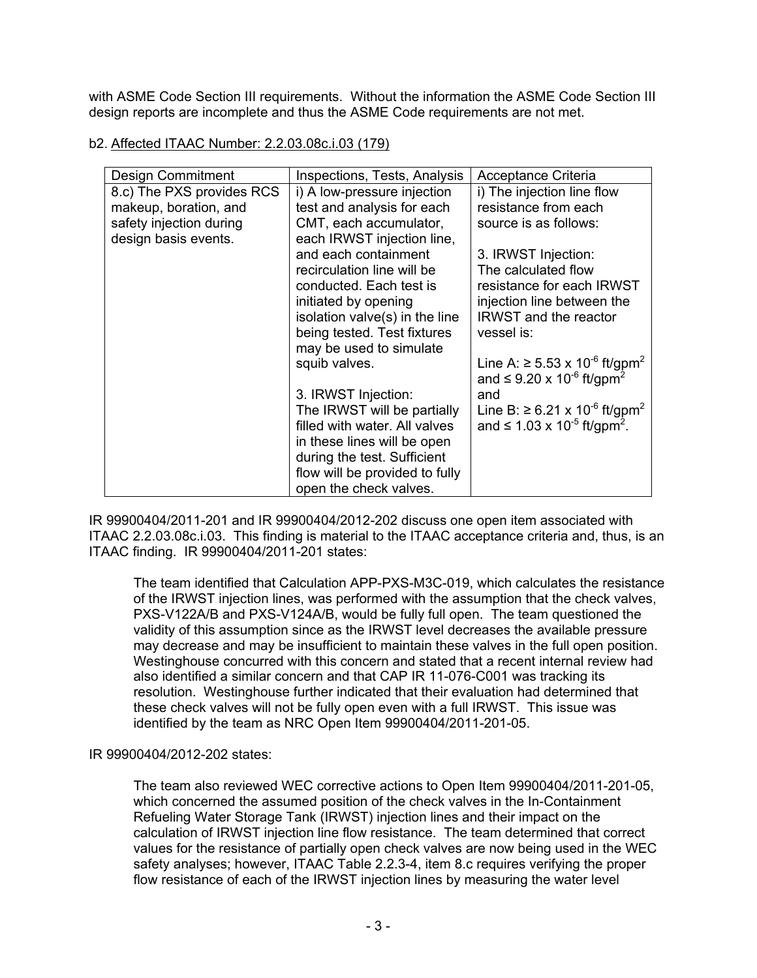with ASME Code Section III requirements. Without the information the ASME Code Section III design reports are incomplete and thus the ASME Code requirements are not met.

# b2. Affected ITAAC Number: 2.2.03.08c.i.03 (179)

| <b>Design Commitment</b>  | Inspections, Tests, Analysis   | Acceptance Criteria                                    |
|---------------------------|--------------------------------|--------------------------------------------------------|
| 8.c) The PXS provides RCS | i) A low-pressure injection    | i) The injection line flow                             |
| makeup, boration, and     | test and analysis for each     | resistance from each                                   |
| safety injection during   | CMT, each accumulator,         | source is as follows:                                  |
| design basis events.      | each IRWST injection line,     |                                                        |
|                           | and each containment           | 3. IRWST Injection:                                    |
|                           | recirculation line will be     | The calculated flow                                    |
|                           | conducted. Each test is        | resistance for each IRWST                              |
|                           | initiated by opening           | injection line between the                             |
|                           | isolation valve(s) in the line | <b>IRWST</b> and the reactor                           |
|                           | being tested. Test fixtures    | vessel is:                                             |
|                           | may be used to simulate        |                                                        |
|                           | squib valves.                  | Line A: ≥ 5.53 x 10 <sup>-6</sup> ft/gpm <sup>2</sup>  |
|                           |                                | and $\leq$ 9.20 x 10 <sup>-6</sup> ft/gpm <sup>2</sup> |
|                           | 3. IRWST Injection:            | and                                                    |
|                           | The IRWST will be partially    | Line B: ≥ 6.21 x 10 <sup>-6</sup> ft/gpm <sup>2</sup>  |
|                           | filled with water. All valves  | and $\leq 1.03 \times 10^{-5}$ ft/gpm <sup>2</sup> .   |
|                           | in these lines will be open    |                                                        |
|                           | during the test. Sufficient    |                                                        |
|                           | flow will be provided to fully |                                                        |
|                           | open the check valves.         |                                                        |

IR 99900404/2011-201 and IR 99900404/2012-202 discuss one open item associated with ITAAC 2.2.03.08c.i.03. This finding is material to the ITAAC acceptance criteria and, thus, is an ITAAC finding. IR 99900404/2011-201 states:

The team identified that Calculation APP-PXS-M3C-019, which calculates the resistance of the IRWST injection lines, was performed with the assumption that the check valves, PXS-V122A/B and PXS-V124A/B, would be fully full open. The team questioned the validity of this assumption since as the IRWST level decreases the available pressure may decrease and may be insufficient to maintain these valves in the full open position. Westinghouse concurred with this concern and stated that a recent internal review had also identified a similar concern and that CAP IR 11-076-C001 was tracking its resolution. Westinghouse further indicated that their evaluation had determined that these check valves will not be fully open even with a full IRWST. This issue was identified by the team as NRC Open Item 99900404/2011-201-05.

# IR 99900404/2012-202 states:

The team also reviewed WEC corrective actions to Open Item 99900404/2011-201-05, which concerned the assumed position of the check valves in the In-Containment Refueling Water Storage Tank (IRWST) injection lines and their impact on the calculation of IRWST injection line flow resistance. The team determined that correct values for the resistance of partially open check valves are now being used in the WEC safety analyses; however, ITAAC Table 2.2.3-4, item 8.c requires verifying the proper flow resistance of each of the IRWST injection lines by measuring the water level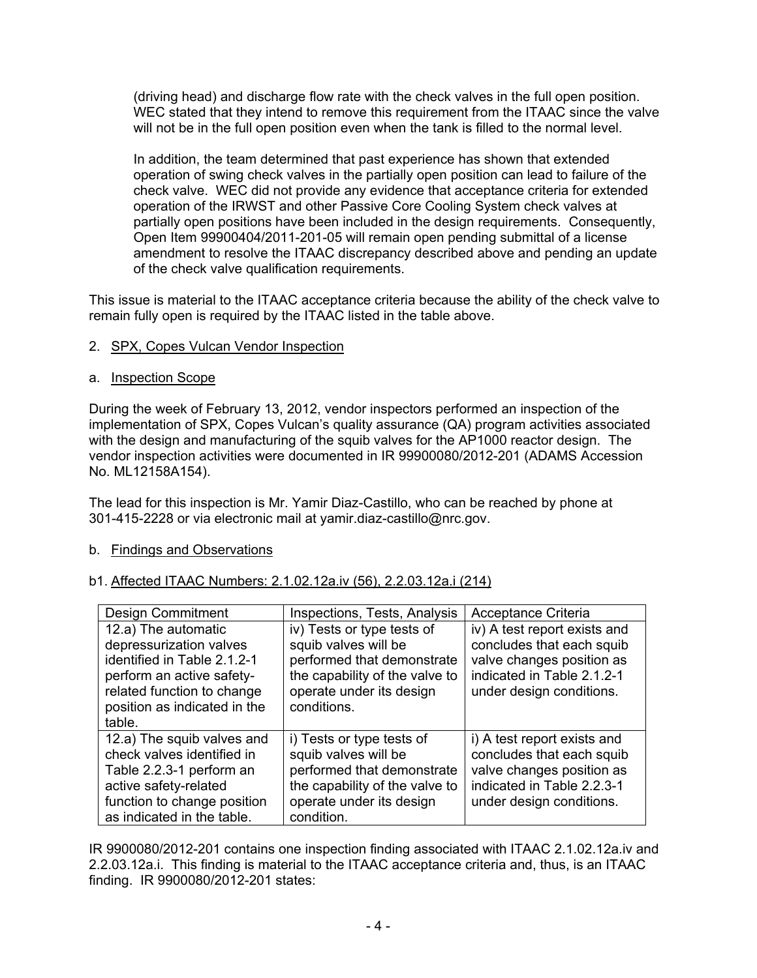(driving head) and discharge flow rate with the check valves in the full open position. WEC stated that they intend to remove this requirement from the ITAAC since the valve will not be in the full open position even when the tank is filled to the normal level.

In addition, the team determined that past experience has shown that extended operation of swing check valves in the partially open position can lead to failure of the check valve. WEC did not provide any evidence that acceptance criteria for extended operation of the IRWST and other Passive Core Cooling System check valves at partially open positions have been included in the design requirements. Consequently, Open Item 99900404/2011-201-05 will remain open pending submittal of a license amendment to resolve the ITAAC discrepancy described above and pending an update of the check valve qualification requirements.

This issue is material to the ITAAC acceptance criteria because the ability of the check valve to remain fully open is required by the ITAAC listed in the table above.

# 2. SPX, Copes Vulcan Vendor Inspection

# a. Inspection Scope

During the week of February 13, 2012, vendor inspectors performed an inspection of the implementation of SPX, Copes Vulcan's quality assurance (QA) program activities associated with the design and manufacturing of the squib valves for the AP1000 reactor design. The vendor inspection activities were documented in IR 99900080/2012-201 (ADAMS Accession No. ML12158A154).

The lead for this inspection is Mr. Yamir Diaz-Castillo, who can be reached by phone at 301-415-2228 or via electronic mail at yamir.diaz-castillo@nrc.gov.

# b. Findings and Observations

# b1. Affected ITAAC Numbers: 2.1.02.12a.iv (56), 2.2.03.12a.i (214)

| Design Commitment            | Inspections, Tests, Analysis   | Acceptance Criteria          |
|------------------------------|--------------------------------|------------------------------|
| 12.a) The automatic          | iv) Tests or type tests of     | iv) A test report exists and |
| depressurization valves      | squib valves will be           | concludes that each squib    |
| identified in Table 2.1.2-1  | performed that demonstrate     | valve changes position as    |
| perform an active safety-    | the capability of the valve to | indicated in Table 2.1.2-1   |
| related function to change   | operate under its design       | under design conditions.     |
| position as indicated in the | conditions.                    |                              |
| table.                       |                                |                              |
| 12.a) The squib valves and   | i) Tests or type tests of      | i) A test report exists and  |
| check valves identified in   | squib valves will be           | concludes that each squib    |
| Table 2.2.3-1 perform an     | performed that demonstrate     | valve changes position as    |
| active safety-related        | the capability of the valve to | indicated in Table 2.2.3-1   |
| function to change position  | operate under its design       | under design conditions.     |
| as indicated in the table.   | condition.                     |                              |

IR 9900080/2012-201 contains one inspection finding associated with ITAAC 2.1.02.12a.iv and 2.2.03.12a.i. This finding is material to the ITAAC acceptance criteria and, thus, is an ITAAC finding. IR 9900080/2012-201 states: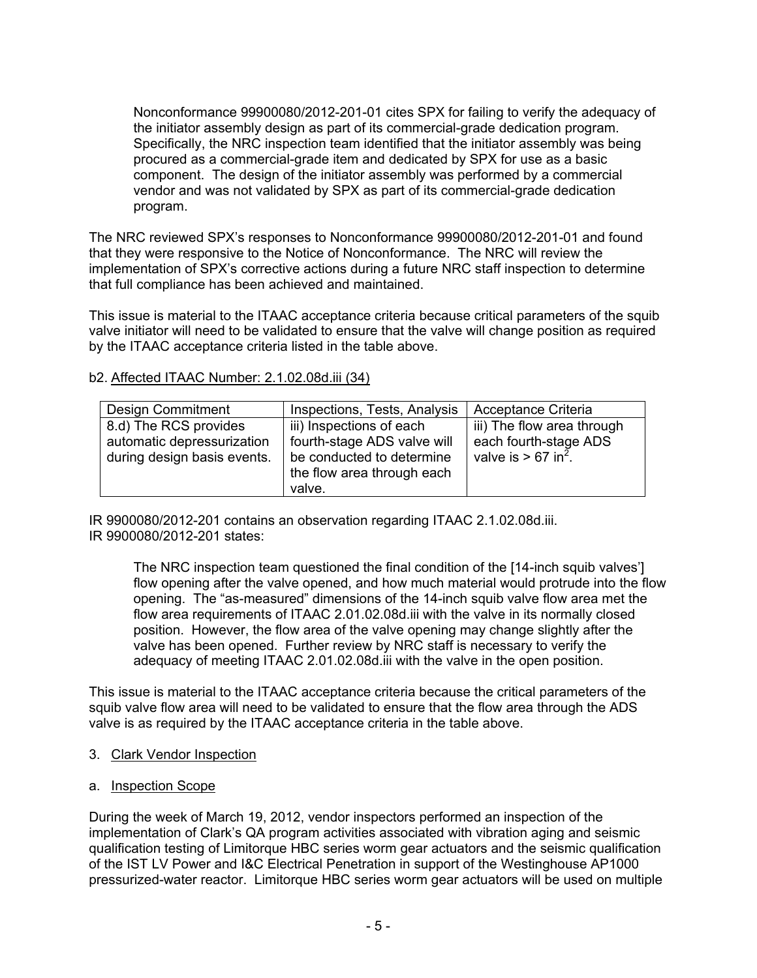Nonconformance 99900080/2012-201-01 cites SPX for failing to verify the adequacy of the initiator assembly design as part of its commercial-grade dedication program. Specifically, the NRC inspection team identified that the initiator assembly was being procured as a commercial-grade item and dedicated by SPX for use as a basic component. The design of the initiator assembly was performed by a commercial vendor and was not validated by SPX as part of its commercial-grade dedication program.

The NRC reviewed SPX's responses to Nonconformance 99900080/2012-201-01 and found that they were responsive to the Notice of Nonconformance. The NRC will review the implementation of SPX's corrective actions during a future NRC staff inspection to determine that full compliance has been achieved and maintained.

This issue is material to the ITAAC acceptance criteria because critical parameters of the squib valve initiator will need to be validated to ensure that the valve will change position as required by the ITAAC acceptance criteria listed in the table above.

| <b>Design Commitment</b>                                                           | Inspections, Tests, Analysis                                                                                                 | <b>Acceptance Criteria</b>                                                               |
|------------------------------------------------------------------------------------|------------------------------------------------------------------------------------------------------------------------------|------------------------------------------------------------------------------------------|
| 8.d) The RCS provides<br>automatic depressurization<br>during design basis events. | iii) Inspections of each<br>fourth-stage ADS valve will<br>be conducted to determine<br>the flow area through each<br>valve. | iii) The flow area through<br>each fourth-stage ADS<br>valve is $> 67$ in <sup>2</sup> . |

#### b2. Affected ITAAC Number: 2.1.02.08d.iii (34)

IR 9900080/2012-201 contains an observation regarding ITAAC 2.1.02.08d.iii. IR 9900080/2012-201 states:

The NRC inspection team questioned the final condition of the [14-inch squib valves'] flow opening after the valve opened, and how much material would protrude into the flow opening. The "as-measured" dimensions of the 14-inch squib valve flow area met the flow area requirements of ITAAC 2.01.02.08d.iii with the valve in its normally closed position. However, the flow area of the valve opening may change slightly after the valve has been opened. Further review by NRC staff is necessary to verify the adequacy of meeting ITAAC 2.01.02.08d.iii with the valve in the open position.

This issue is material to the ITAAC acceptance criteria because the critical parameters of the squib valve flow area will need to be validated to ensure that the flow area through the ADS valve is as required by the ITAAC acceptance criteria in the table above.

- 3. Clark Vendor Inspection
- a. Inspection Scope

During the week of March 19, 2012, vendor inspectors performed an inspection of the implementation of Clark's QA program activities associated with vibration aging and seismic qualification testing of Limitorque HBC series worm gear actuators and the seismic qualification of the IST LV Power and I&C Electrical Penetration in support of the Westinghouse AP1000 pressurized-water reactor. Limitorque HBC series worm gear actuators will be used on multiple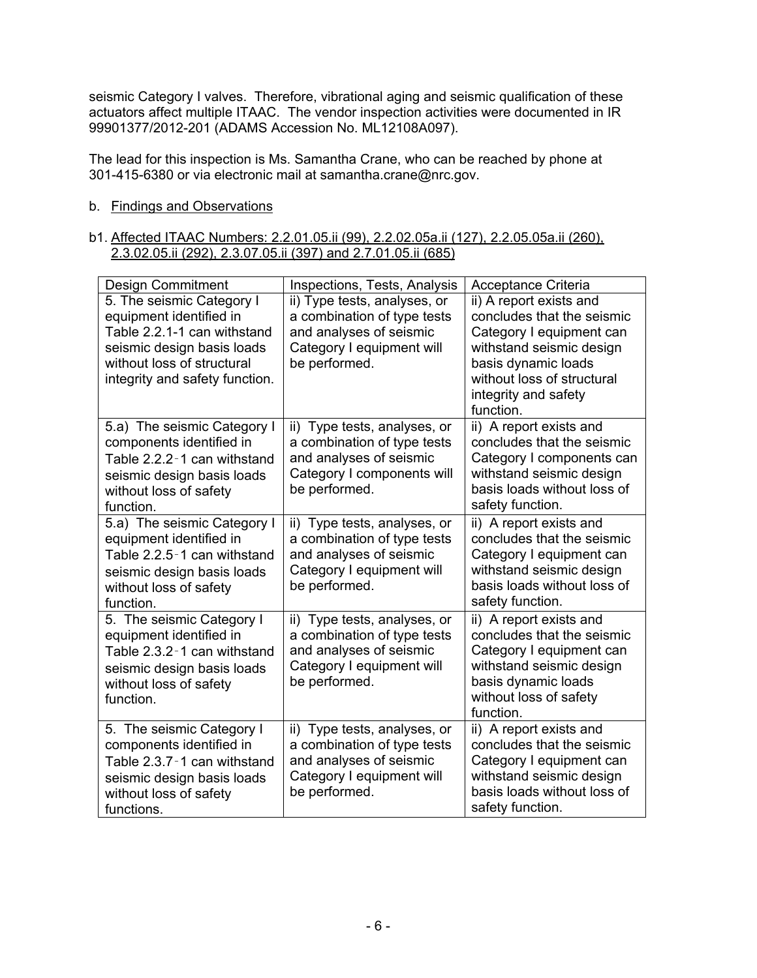seismic Category I valves. Therefore, vibrational aging and seismic qualification of these actuators affect multiple ITAAC. The vendor inspection activities were documented in IR 99901377/2012-201 (ADAMS Accession No. ML12108A097).

The lead for this inspection is Ms. Samantha Crane, who can be reached by phone at 301-415-6380 or via electronic mail at samantha.crane@nrc.gov.

# b. Findings and Observations

#### b1. Affected ITAAC Numbers: 2.2.01.05.ii (99), 2.2.02.05a.ii (127), 2.2.05.05a.ii (260), 2.3.02.05.ii (292), 2.3.07.05.ii (397) and 2.7.01.05.ii (685)

| Design Commitment                                                                                                                                                                 | Inspections, Tests, Analysis                                                                                                         | Acceptance Criteria                                                                                                                                                                                     |
|-----------------------------------------------------------------------------------------------------------------------------------------------------------------------------------|--------------------------------------------------------------------------------------------------------------------------------------|---------------------------------------------------------------------------------------------------------------------------------------------------------------------------------------------------------|
| 5. The seismic Category I<br>equipment identified in<br>Table 2.2.1-1 can withstand<br>seismic design basis loads<br>without loss of structural<br>integrity and safety function. | ii) Type tests, analyses, or<br>a combination of type tests<br>and analyses of seismic<br>Category I equipment will<br>be performed. | ii) A report exists and<br>concludes that the seismic<br>Category I equipment can<br>withstand seismic design<br>basis dynamic loads<br>without loss of structural<br>integrity and safety<br>function. |
| 5.a) The seismic Category I<br>components identified in                                                                                                                           | ii) Type tests, analyses, or<br>a combination of type tests                                                                          | ii) A report exists and<br>concludes that the seismic                                                                                                                                                   |
| Table 2.2.2-1 can withstand<br>seismic design basis loads<br>without loss of safety<br>function.                                                                                  | and analyses of seismic<br>Category I components will<br>be performed.                                                               | Category I components can<br>withstand seismic design<br>basis loads without loss of<br>safety function.                                                                                                |
| 5.a) The seismic Category I<br>equipment identified in                                                                                                                            | ii) Type tests, analyses, or<br>a combination of type tests                                                                          | ii) A report exists and<br>concludes that the seismic                                                                                                                                                   |
| Table 2.2.5-1 can withstand                                                                                                                                                       | and analyses of seismic                                                                                                              | Category I equipment can                                                                                                                                                                                |
| seismic design basis loads                                                                                                                                                        | Category I equipment will                                                                                                            | withstand seismic design<br>basis loads without loss of                                                                                                                                                 |
| without loss of safety<br>function.                                                                                                                                               | be performed.                                                                                                                        | safety function.                                                                                                                                                                                        |
| 5. The seismic Category I<br>equipment identified in<br>Table 2.3.2-1 can withstand<br>seismic design basis loads<br>without loss of safety<br>function.                          | ii) Type tests, analyses, or<br>a combination of type tests<br>and analyses of seismic<br>Category I equipment will<br>be performed. | ii) A report exists and<br>concludes that the seismic<br>Category I equipment can<br>withstand seismic design<br>basis dynamic loads<br>without loss of safety<br>function.                             |
| 5. The seismic Category I<br>components identified in                                                                                                                             | ii) Type tests, analyses, or<br>a combination of type tests                                                                          | ii) A report exists and<br>concludes that the seismic                                                                                                                                                   |
| Table 2.3.7-1 can withstand                                                                                                                                                       | and analyses of seismic                                                                                                              | Category I equipment can                                                                                                                                                                                |
| seismic design basis loads                                                                                                                                                        | Category I equipment will                                                                                                            | withstand seismic design                                                                                                                                                                                |
| without loss of safety<br>functions.                                                                                                                                              | be performed.                                                                                                                        | basis loads without loss of<br>safety function.                                                                                                                                                         |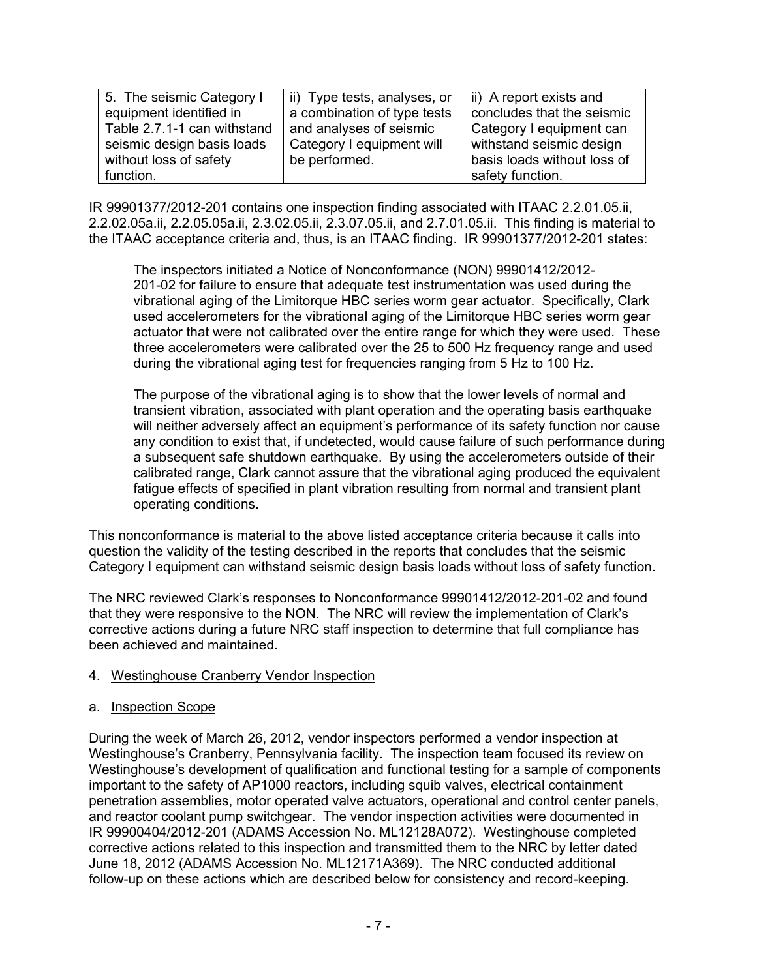| 5. The seismic Category I   | ii) Type tests, analyses, or | ii) A report exists and     |
|-----------------------------|------------------------------|-----------------------------|
| equipment identified in     | a combination of type tests  | concludes that the seismic  |
| Table 2.7.1-1 can withstand | and analyses of seismic      | Category I equipment can    |
| seismic design basis loads  | Category I equipment will    | withstand seismic design    |
| without loss of safety      | be performed.                | basis loads without loss of |
| function.                   |                              | safety function.            |

IR 99901377/2012-201 contains one inspection finding associated with ITAAC 2.2.01.05.ii, 2.2.02.05a.ii, 2.2.05.05a.ii, 2.3.02.05.ii, 2.3.07.05.ii, and 2.7.01.05.ii. This finding is material to the ITAAC acceptance criteria and, thus, is an ITAAC finding. IR 99901377/2012-201 states:

The inspectors initiated a Notice of Nonconformance (NON) 99901412/2012- 201-02 for failure to ensure that adequate test instrumentation was used during the vibrational aging of the Limitorque HBC series worm gear actuator. Specifically, Clark used accelerometers for the vibrational aging of the Limitorque HBC series worm gear actuator that were not calibrated over the entire range for which they were used. These three accelerometers were calibrated over the 25 to 500 Hz frequency range and used during the vibrational aging test for frequencies ranging from 5 Hz to 100 Hz.

The purpose of the vibrational aging is to show that the lower levels of normal and transient vibration, associated with plant operation and the operating basis earthquake will neither adversely affect an equipment's performance of its safety function nor cause any condition to exist that, if undetected, would cause failure of such performance during a subsequent safe shutdown earthquake. By using the accelerometers outside of their calibrated range, Clark cannot assure that the vibrational aging produced the equivalent fatigue effects of specified in plant vibration resulting from normal and transient plant operating conditions.

This nonconformance is material to the above listed acceptance criteria because it calls into question the validity of the testing described in the reports that concludes that the seismic Category I equipment can withstand seismic design basis loads without loss of safety function.

The NRC reviewed Clark's responses to Nonconformance 99901412/2012-201-02 and found that they were responsive to the NON. The NRC will review the implementation of Clark's corrective actions during a future NRC staff inspection to determine that full compliance has been achieved and maintained.

# 4. Westinghouse Cranberry Vendor Inspection

# a. Inspection Scope

During the week of March 26, 2012, vendor inspectors performed a vendor inspection at Westinghouse's Cranberry, Pennsylvania facility. The inspection team focused its review on Westinghouse's development of qualification and functional testing for a sample of components important to the safety of AP1000 reactors, including squib valves, electrical containment penetration assemblies, motor operated valve actuators, operational and control center panels, and reactor coolant pump switchgear. The vendor inspection activities were documented in IR 99900404/2012-201 (ADAMS Accession No. ML12128A072). Westinghouse completed corrective actions related to this inspection and transmitted them to the NRC by letter dated June 18, 2012 (ADAMS Accession No. ML12171A369). The NRC conducted additional follow-up on these actions which are described below for consistency and record-keeping.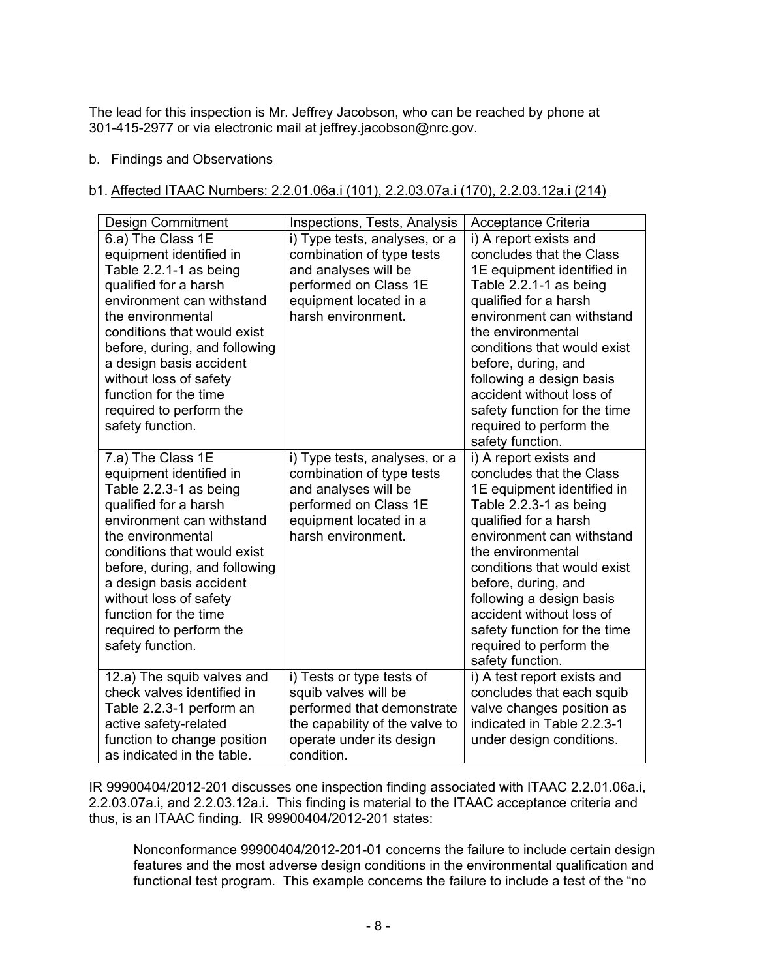The lead for this inspection is Mr. Jeffrey Jacobson, who can be reached by phone at 301-415-2977 or via electronic mail at jeffrey.jacobson@nrc.gov.

# b. Findings and Observations

# b1. Affected ITAAC Numbers: 2.2.01.06a.i (101), 2.2.03.07a.i (170), 2.2.03.12a.i (214)

| <b>Design Commitment</b>                                                                                                                                                                                                                                                                                                                       | Inspections, Tests, Analysis                                                                                                                                | Acceptance Criteria                                                                                                                                                                                                                                                                                                                                                                |
|------------------------------------------------------------------------------------------------------------------------------------------------------------------------------------------------------------------------------------------------------------------------------------------------------------------------------------------------|-------------------------------------------------------------------------------------------------------------------------------------------------------------|------------------------------------------------------------------------------------------------------------------------------------------------------------------------------------------------------------------------------------------------------------------------------------------------------------------------------------------------------------------------------------|
| 6.a) The Class 1E<br>equipment identified in<br>Table 2.2.1-1 as being<br>qualified for a harsh<br>environment can withstand<br>the environmental<br>conditions that would exist<br>before, during, and following<br>a design basis accident<br>without loss of safety<br>function for the time<br>required to perform the<br>safety function. | i) Type tests, analyses, or a<br>combination of type tests<br>and analyses will be<br>performed on Class 1E<br>equipment located in a<br>harsh environment. | i) A report exists and<br>concludes that the Class<br>1E equipment identified in<br>Table 2.2.1-1 as being<br>qualified for a harsh<br>environment can withstand<br>the environmental<br>conditions that would exist<br>before, during, and<br>following a design basis<br>accident without loss of<br>safety function for the time<br>required to perform the<br>safety function. |
| 7.a) The Class 1E<br>equipment identified in<br>Table 2.2.3-1 as being<br>qualified for a harsh<br>environment can withstand<br>the environmental<br>conditions that would exist<br>before, during, and following<br>a design basis accident<br>without loss of safety<br>function for the time<br>required to perform the<br>safety function. | i) Type tests, analyses, or a<br>combination of type tests<br>and analyses will be<br>performed on Class 1E<br>equipment located in a<br>harsh environment. | i) A report exists and<br>concludes that the Class<br>1E equipment identified in<br>Table 2.2.3-1 as being<br>qualified for a harsh<br>environment can withstand<br>the environmental<br>conditions that would exist<br>before, during, and<br>following a design basis<br>accident without loss of<br>safety function for the time<br>required to perform the<br>safety function. |
| 12.a) The squib valves and<br>check valves identified in<br>Table 2.2.3-1 perform an<br>active safety-related<br>function to change position<br>as indicated in the table.                                                                                                                                                                     | i) Tests or type tests of<br>squib valves will be<br>performed that demonstrate<br>the capability of the valve to<br>operate under its design<br>condition. | i) A test report exists and<br>concludes that each squib<br>valve changes position as<br>indicated in Table 2.2.3-1<br>under design conditions.                                                                                                                                                                                                                                    |

IR 99900404/2012-201 discusses one inspection finding associated with ITAAC 2.2.01.06a.i, 2.2.03.07a.i, and 2.2.03.12a.i. This finding is material to the ITAAC acceptance criteria and thus, is an ITAAC finding. IR 99900404/2012-201 states:

Nonconformance 99900404/2012-201-01 concerns the failure to include certain design features and the most adverse design conditions in the environmental qualification and functional test program. This example concerns the failure to include a test of the "no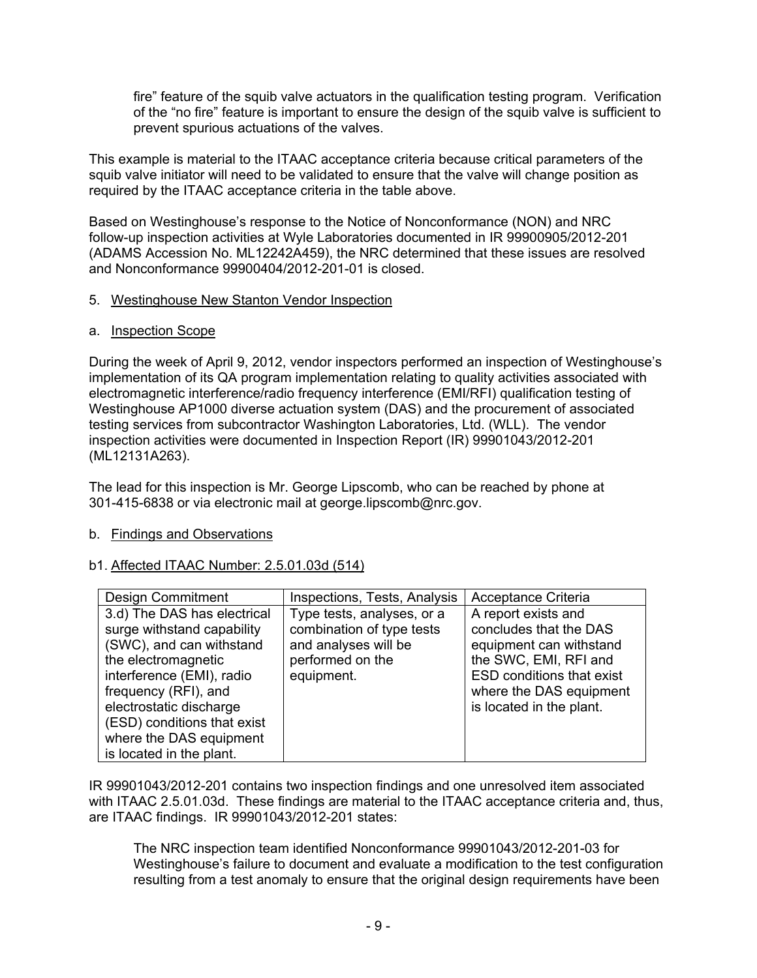fire" feature of the squib valve actuators in the qualification testing program. Verification of the "no fire" feature is important to ensure the design of the squib valve is sufficient to prevent spurious actuations of the valves.

This example is material to the ITAAC acceptance criteria because critical parameters of the squib valve initiator will need to be validated to ensure that the valve will change position as required by the ITAAC acceptance criteria in the table above.

Based on Westinghouse's response to the Notice of Nonconformance (NON) and NRC follow-up inspection activities at Wyle Laboratories documented in IR 99900905/2012-201 (ADAMS Accession No. ML12242A459), the NRC determined that these issues are resolved and Nonconformance 99900404/2012-201-01 is closed.

# 5. Westinghouse New Stanton Vendor Inspection

#### a. Inspection Scope

During the week of April 9, 2012, vendor inspectors performed an inspection of Westinghouse's implementation of its QA program implementation relating to quality activities associated with electromagnetic interference/radio frequency interference (EMI/RFI) qualification testing of Westinghouse AP1000 diverse actuation system (DAS) and the procurement of associated testing services from subcontractor Washington Laboratories, Ltd. (WLL). The vendor inspection activities were documented in Inspection Report (IR) 99901043/2012-201 (ML12131A263).

The lead for this inspection is Mr. George Lipscomb, who can be reached by phone at 301-415-6838 or via electronic mail at george.lipscomb@nrc.gov.

# b. Findings and Observations

# b1. Affected ITAAC Number: 2.5.01.03d (514)

| <b>Design Commitment</b>                                                                                                                                                                                                                                                           | Inspections, Tests, Analysis                                                                                      | Acceptance Criteria                                                                                                                                                                          |
|------------------------------------------------------------------------------------------------------------------------------------------------------------------------------------------------------------------------------------------------------------------------------------|-------------------------------------------------------------------------------------------------------------------|----------------------------------------------------------------------------------------------------------------------------------------------------------------------------------------------|
| 3.d) The DAS has electrical<br>surge withstand capability<br>(SWC), and can withstand<br>the electromagnetic<br>interference (EMI), radio<br>frequency (RFI), and<br>electrostatic discharge<br>(ESD) conditions that exist<br>where the DAS equipment<br>is located in the plant. | Type tests, analyses, or a<br>combination of type tests<br>and analyses will be<br>performed on the<br>equipment. | A report exists and<br>concludes that the DAS<br>equipment can withstand<br>the SWC, EMI, RFI and<br><b>ESD conditions that exist</b><br>where the DAS equipment<br>is located in the plant. |

IR 99901043/2012-201 contains two inspection findings and one unresolved item associated with ITAAC 2.5.01.03d. These findings are material to the ITAAC acceptance criteria and, thus, are ITAAC findings. IR 99901043/2012-201 states:

The NRC inspection team identified Nonconformance 99901043/2012-201-03 for Westinghouse's failure to document and evaluate a modification to the test configuration resulting from a test anomaly to ensure that the original design requirements have been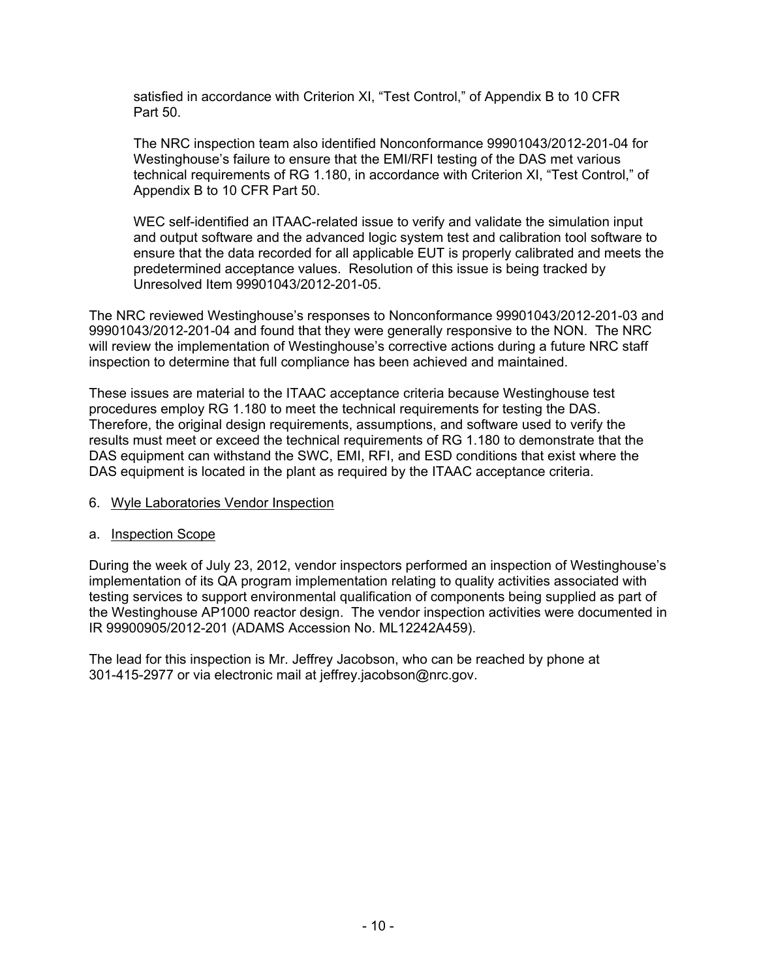satisfied in accordance with Criterion XI, "Test Control," of Appendix B to 10 CFR Part 50.

The NRC inspection team also identified Nonconformance 99901043/2012-201-04 for Westinghouse's failure to ensure that the EMI/RFI testing of the DAS met various technical requirements of RG 1.180, in accordance with Criterion XI, "Test Control," of Appendix B to 10 CFR Part 50.

WEC self-identified an ITAAC-related issue to verify and validate the simulation input and output software and the advanced logic system test and calibration tool software to ensure that the data recorded for all applicable EUT is properly calibrated and meets the predetermined acceptance values. Resolution of this issue is being tracked by Unresolved Item 99901043/2012-201-05.

The NRC reviewed Westinghouse's responses to Nonconformance 99901043/2012-201-03 and 99901043/2012-201-04 and found that they were generally responsive to the NON. The NRC will review the implementation of Westinghouse's corrective actions during a future NRC staff inspection to determine that full compliance has been achieved and maintained.

These issues are material to the ITAAC acceptance criteria because Westinghouse test procedures employ RG 1.180 to meet the technical requirements for testing the DAS. Therefore, the original design requirements, assumptions, and software used to verify the results must meet or exceed the technical requirements of RG 1.180 to demonstrate that the DAS equipment can withstand the SWC, EMI, RFI, and ESD conditions that exist where the DAS equipment is located in the plant as required by the ITAAC acceptance criteria.

# 6. Wyle Laboratories Vendor Inspection

# a. Inspection Scope

During the week of July 23, 2012, vendor inspectors performed an inspection of Westinghouse's implementation of its QA program implementation relating to quality activities associated with testing services to support environmental qualification of components being supplied as part of the Westinghouse AP1000 reactor design. The vendor inspection activities were documented in IR 99900905/2012-201 (ADAMS Accession No. ML12242A459).

The lead for this inspection is Mr. Jeffrey Jacobson, who can be reached by phone at 301-415-2977 or via electronic mail at jeffrey.jacobson@nrc.gov.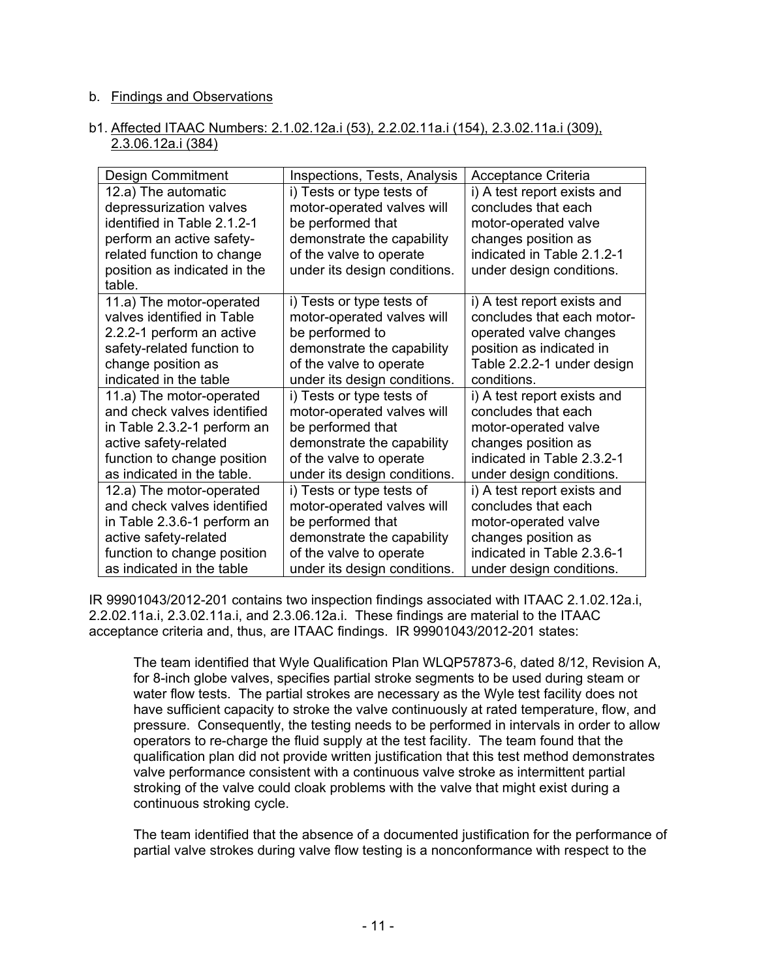#### b. Findings and Observations

#### b1. Affected ITAAC Numbers: 2.1.02.12a.i (53), 2.2.02.11a.i (154), 2.3.02.11a.i (309), 2.3.06.12a.i (384)

| Design Commitment            | Inspections, Tests, Analysis | Acceptance Criteria         |
|------------------------------|------------------------------|-----------------------------|
| 12.a) The automatic          | i) Tests or type tests of    | i) A test report exists and |
| depressurization valves      | motor-operated valves will   | concludes that each         |
| identified in Table 2.1.2-1  | be performed that            | motor-operated valve        |
| perform an active safety-    | demonstrate the capability   | changes position as         |
| related function to change   | of the valve to operate      | indicated in Table 2.1.2-1  |
| position as indicated in the | under its design conditions. | under design conditions.    |
| table.                       |                              |                             |
| 11.a) The motor-operated     | i) Tests or type tests of    | i) A test report exists and |
| valves identified in Table   | motor-operated valves will   | concludes that each motor-  |
| 2.2.2-1 perform an active    | be performed to              | operated valve changes      |
| safety-related function to   | demonstrate the capability   | position as indicated in    |
| change position as           | of the valve to operate      | Table 2.2.2-1 under design  |
| indicated in the table       | under its design conditions. | conditions.                 |
| 11.a) The motor-operated     | i) Tests or type tests of    | i) A test report exists and |
| and check valves identified  | motor-operated valves will   | concludes that each         |
| in Table 2.3.2-1 perform an  | be performed that            | motor-operated valve        |
| active safety-related        | demonstrate the capability   | changes position as         |
| function to change position  | of the valve to operate      | indicated in Table 2.3.2-1  |
| as indicated in the table.   | under its design conditions. | under design conditions.    |
| 12.a) The motor-operated     | i) Tests or type tests of    | i) A test report exists and |
| and check valves identified  | motor-operated valves will   | concludes that each         |
| in Table 2.3.6-1 perform an  | be performed that            | motor-operated valve        |
| active safety-related        | demonstrate the capability   | changes position as         |
| function to change position  | of the valve to operate      | indicated in Table 2.3.6-1  |
| as indicated in the table    | under its design conditions. | under design conditions.    |

IR 99901043/2012-201 contains two inspection findings associated with ITAAC 2.1.02.12a.i, 2.2.02.11a.i, 2.3.02.11a.i, and 2.3.06.12a.i. These findings are material to the ITAAC acceptance criteria and, thus, are ITAAC findings. IR 99901043/2012-201 states:

The team identified that Wyle Qualification Plan WLQP57873-6, dated 8/12, Revision A, for 8-inch globe valves, specifies partial stroke segments to be used during steam or water flow tests. The partial strokes are necessary as the Wyle test facility does not have sufficient capacity to stroke the valve continuously at rated temperature, flow, and pressure. Consequently, the testing needs to be performed in intervals in order to allow operators to re-charge the fluid supply at the test facility. The team found that the qualification plan did not provide written justification that this test method demonstrates valve performance consistent with a continuous valve stroke as intermittent partial stroking of the valve could cloak problems with the valve that might exist during a continuous stroking cycle.

The team identified that the absence of a documented justification for the performance of partial valve strokes during valve flow testing is a nonconformance with respect to the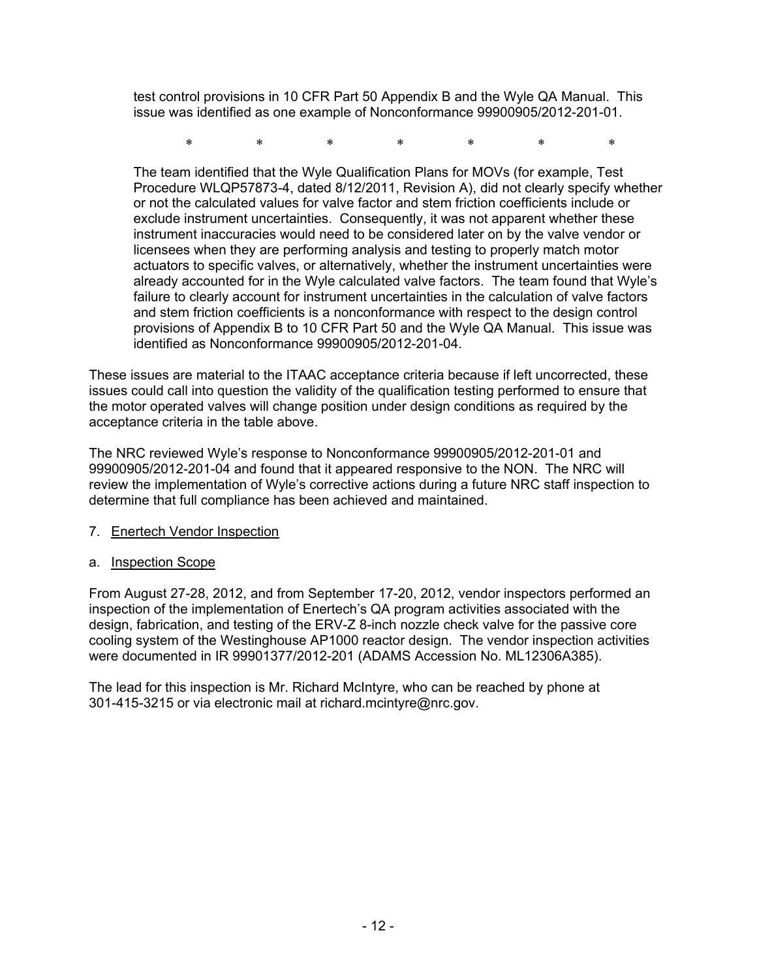test control provisions in 10 CFR Part 50 Appendix B and the Wyle QA Manual. This issue was identified as one example of Nonconformance 99900905/2012-201-01.

\* \* \* \* \* \* \*

The team identified that the Wyle Qualification Plans for MOVs (for example, Test Procedure WLQP57873-4, dated 8/12/2011, Revision A), did not clearly specify whether or not the calculated values for valve factor and stem friction coefficients include or exclude instrument uncertainties. Consequently, it was not apparent whether these instrument inaccuracies would need to be considered later on by the valve vendor or licensees when they are performing analysis and testing to properly match motor actuators to specific valves, or alternatively, whether the instrument uncertainties were already accounted for in the Wyle calculated valve factors. The team found that Wyle's failure to clearly account for instrument uncertainties in the calculation of valve factors and stem friction coefficients is a nonconformance with respect to the design control provisions of Appendix B to 10 CFR Part 50 and the Wyle QA Manual. This issue was identified as Nonconformance 99900905/2012-201-04.

These issues are material to the ITAAC acceptance criteria because if left uncorrected, these issues could call into question the validity of the qualification testing performed to ensure that the motor operated valves will change position under design conditions as required by the acceptance criteria in the table above.

The NRC reviewed Wyle's response to Nonconformance 99900905/2012-201-01 and 99900905/2012-201-04 and found that it appeared responsive to the NON. The NRC will review the implementation of Wyle's corrective actions during a future NRC staff inspection to determine that full compliance has been achieved and maintained.

# 7. Enertech Vendor Inspection

# a. Inspection Scope

From August 27-28, 2012, and from September 17-20, 2012, vendor inspectors performed an inspection of the implementation of Enertech's QA program activities associated with the design, fabrication, and testing of the ERV-Z 8-inch nozzle check valve for the passive core cooling system of the Westinghouse AP1000 reactor design. The vendor inspection activities were documented in IR 99901377/2012-201 (ADAMS Accession No. ML12306A385).

The lead for this inspection is Mr. Richard McIntyre, who can be reached by phone at 301-415-3215 or via electronic mail at richard.mcintyre@nrc.gov.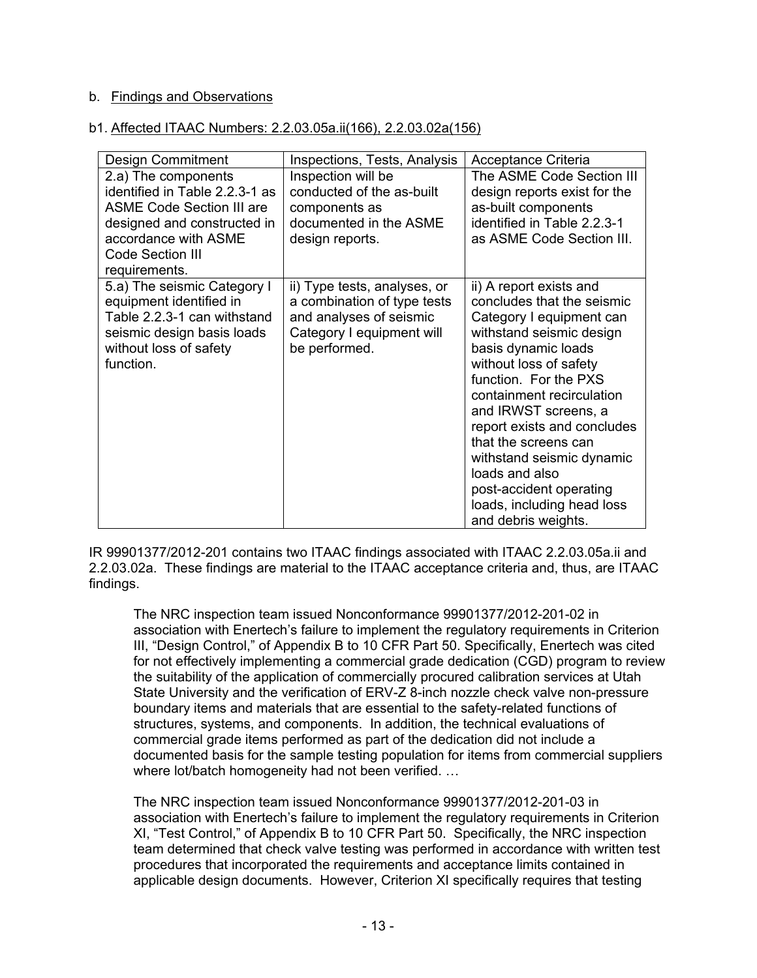# b. Findings and Observations

#### b1. Affected ITAAC Numbers: 2.2.03.05a.ii(166), 2.2.03.02a(156)

| <b>Design Commitment</b>         | Inspections, Tests, Analysis | Acceptance Criteria                                 |
|----------------------------------|------------------------------|-----------------------------------------------------|
| 2.a) The components              | Inspection will be           | The ASME Code Section III                           |
| identified in Table 2.2.3-1 as   | conducted of the as-built    | design reports exist for the                        |
| <b>ASME Code Section III are</b> | components as                | as-built components                                 |
| designed and constructed in      | documented in the ASME       | identified in Table 2.2.3-1                         |
| accordance with ASME             | design reports.              | as ASME Code Section III.                           |
| <b>Code Section III</b>          |                              |                                                     |
| requirements.                    |                              |                                                     |
| 5.a) The seismic Category I      | ii) Type tests, analyses, or | ii) A report exists and                             |
| equipment identified in          | a combination of type tests  | concludes that the seismic                          |
| Table 2.2.3-1 can withstand      | and analyses of seismic      | Category I equipment can                            |
| seismic design basis loads       | Category I equipment will    | withstand seismic design                            |
| without loss of safety           | be performed.                | basis dynamic loads                                 |
| function.                        |                              | without loss of safety                              |
|                                  |                              | function. For the PXS                               |
|                                  |                              | containment recirculation                           |
|                                  |                              | and IRWST screens, a                                |
|                                  |                              | report exists and concludes<br>that the screens can |
|                                  |                              |                                                     |
|                                  |                              | withstand seismic dynamic<br>loads and also         |
|                                  |                              | post-accident operating                             |
|                                  |                              | loads, including head loss                          |
|                                  |                              | and debris weights.                                 |
|                                  |                              |                                                     |

IR 99901377/2012-201 contains two ITAAC findings associated with ITAAC 2.2.03.05a.ii and 2.2.03.02a. These findings are material to the ITAAC acceptance criteria and, thus, are ITAAC findings.

The NRC inspection team issued Nonconformance 99901377/2012-201-02 in association with Enertech's failure to implement the regulatory requirements in Criterion III, "Design Control," of Appendix B to 10 CFR Part 50. Specifically, Enertech was cited for not effectively implementing a commercial grade dedication (CGD) program to review the suitability of the application of commercially procured calibration services at Utah State University and the verification of ERV-Z 8-inch nozzle check valve non-pressure boundary items and materials that are essential to the safety-related functions of structures, systems, and components. In addition, the technical evaluations of commercial grade items performed as part of the dedication did not include a documented basis for the sample testing population for items from commercial suppliers where lot/batch homogeneity had not been verified. …

The NRC inspection team issued Nonconformance 99901377/2012-201-03 in association with Enertech's failure to implement the regulatory requirements in Criterion XI, "Test Control," of Appendix B to 10 CFR Part 50. Specifically, the NRC inspection team determined that check valve testing was performed in accordance with written test procedures that incorporated the requirements and acceptance limits contained in applicable design documents. However, Criterion XI specifically requires that testing